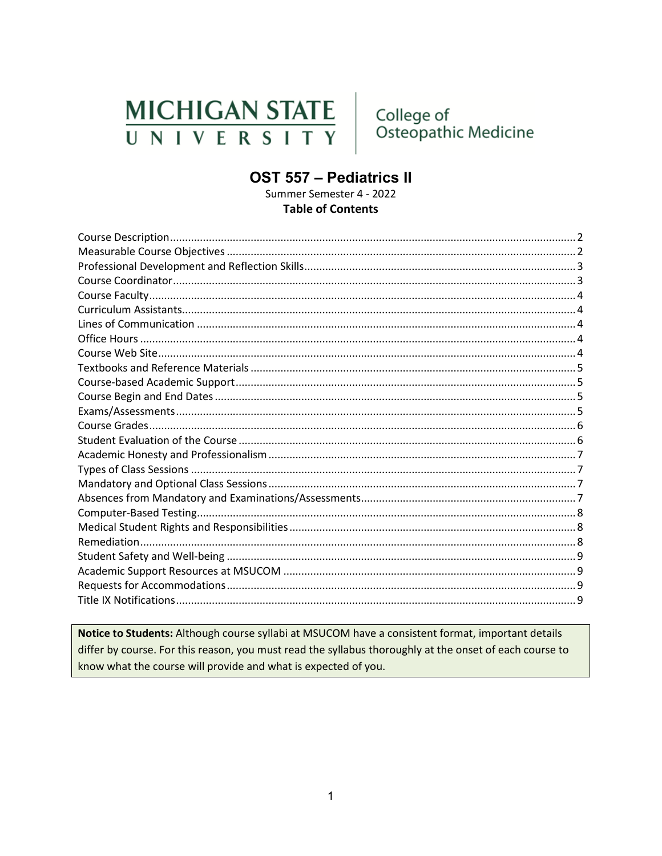# **MICHIGAN STATE** UNIVERSITY

College of Osteopathic Medicine

# **OST 557 - Pediatrics II**

Summer Semester 4 - 2022 **Table of Contents** 

Notice to Students: Although course syllabi at MSUCOM have a consistent format, important details differ by course. For this reason, you must read the syllabus thoroughly at the onset of each course to know what the course will provide and what is expected of you.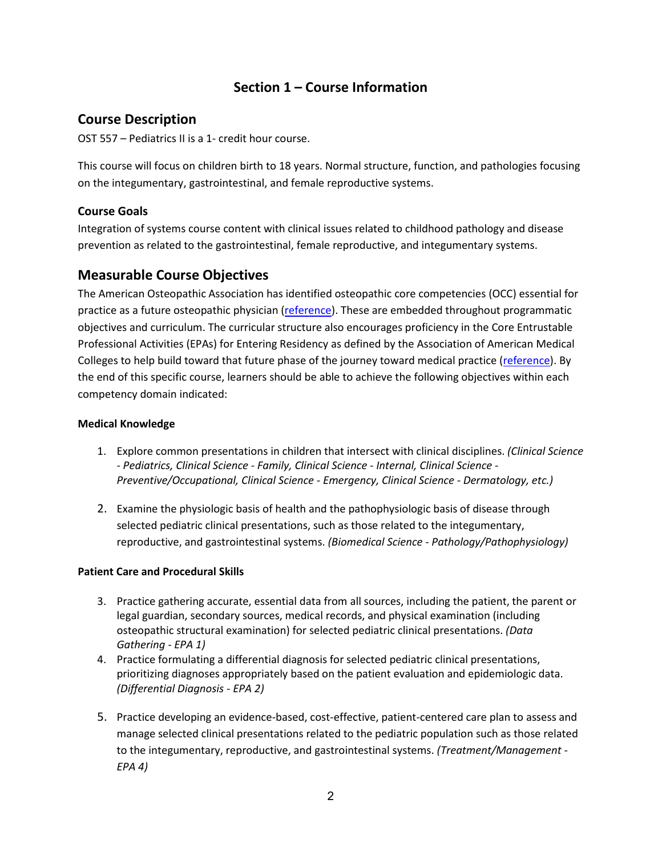# **Section 1 – Course Information**

## <span id="page-1-0"></span>**Course Description**

OST 557 – Pediatrics II is a 1- credit hour course.

This course will focus on children birth to 18 years. Normal structure, function, and pathologies focusing on the integumentary, gastrointestinal, and female reproductive systems.

#### **Course Goals**

Integration of systems course content with clinical issues related to childhood pathology and disease prevention as related to the gastrointestinal, female reproductive, and integumentary systems.

## <span id="page-1-1"></span>**Measurable Course Objectives**

The American Osteopathic Association has identified osteopathic core competencies (OCC) essential for practice as a future osteopathic physician [\(reference\)](https://www.aacom.org/docs/default-source/core-competencies/corecompetencyreport2012.pdf?sfvrsn=4). These are embedded throughout programmatic objectives and curriculum. The curricular structure also encourages proficiency in the Core Entrustable Professional Activities (EPAs) for Entering Residency as defined by the Association of American Medical Colleges to help build toward that future phase of the journey toward medical practice [\(reference\)](https://store.aamc.org/downloadable/download/sample/sample_id/66/). By the end of this specific course, learners should be able to achieve the following objectives within each competency domain indicated:

#### **Medical Knowledge**

- 1. Explore common presentations in children that intersect with clinical disciplines. *(Clinical Science - Pediatrics, Clinical Science - Family, Clinical Science - Internal, Clinical Science - Preventive/Occupational, Clinical Science - Emergency, Clinical Science - Dermatology, etc.)*
- 2. Examine the physiologic basis of health and the pathophysiologic basis of disease through selected pediatric clinical presentations, such as those related to the integumentary, reproductive, and gastrointestinal systems. *(Biomedical Science - Pathology/Pathophysiology)*

#### **Patient Care and Procedural Skills**

- 3. Practice gathering accurate, essential data from all sources, including the patient, the parent or legal guardian, secondary sources, medical records, and physical examination (including osteopathic structural examination) for selected pediatric clinical presentations. *(Data Gathering - EPA 1)*
- 4. Practice formulating a differential diagnosis for selected pediatric clinical presentations, prioritizing diagnoses appropriately based on the patient evaluation and epidemiologic data. *(Differential Diagnosis - EPA 2)*
- 5. Practice developing an evidence-based, cost-effective, patient-centered care plan to assess and manage selected clinical presentations related to the pediatric population such as those related to the integumentary, reproductive, and gastrointestinal systems. *(Treatment/Management - EPA 4)*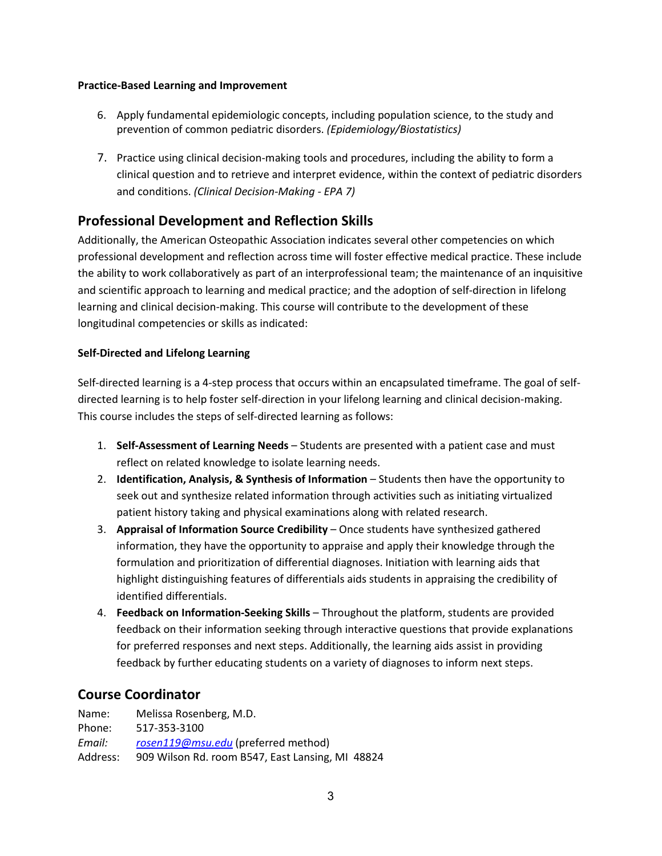#### **Practice-Based Learning and Improvement**

- 6. Apply fundamental epidemiologic concepts, including population science, to the study and prevention of common pediatric disorders. *(Epidemiology/Biostatistics)*
- 7. Practice using clinical decision-making tools and procedures, including the ability to form a clinical question and to retrieve and interpret evidence, within the context of pediatric disorders and conditions. *(Clinical Decision-Making - EPA 7)*

## <span id="page-2-0"></span>**Professional Development and Reflection Skills**

Additionally, the American Osteopathic Association indicates several other competencies on which professional development and reflection across time will foster effective medical practice. These include the ability to work collaboratively as part of an interprofessional team; the maintenance of an inquisitive and scientific approach to learning and medical practice; and the adoption of self-direction in lifelong learning and clinical decision-making. This course will contribute to the development of these longitudinal competencies or skills as indicated:

#### **Self-Directed and Lifelong Learning**

Self-directed learning is a 4-step process that occurs within an encapsulated timeframe. The goal of selfdirected learning is to help foster self-direction in your lifelong learning and clinical decision-making. This course includes the steps of self-directed learning as follows:

- 1. **Self-Assessment of Learning Needs** Students are presented with a patient case and must reflect on related knowledge to isolate learning needs.
- 2. **Identification, Analysis, & Synthesis of Information** Students then have the opportunity to seek out and synthesize related information through activities such as initiating virtualized patient history taking and physical examinations along with related research.
- 3. **Appraisal of Information Source Credibility** Once students have synthesized gathered information, they have the opportunity to appraise and apply their knowledge through the formulation and prioritization of differential diagnoses. Initiation with learning aids that highlight distinguishing features of differentials aids students in appraising the credibility of identified differentials.
- 4. **Feedback on Information-Seeking Skills** Throughout the platform, students are provided feedback on their information seeking through interactive questions that provide explanations for preferred responses and next steps. Additionally, the learning aids assist in providing feedback by further educating students on a variety of diagnoses to inform next steps.

## <span id="page-2-1"></span>**Course Coordinator**

| Name:    | Melissa Rosenberg, M.D.                          |
|----------|--------------------------------------------------|
| Phone:   | 517-353-3100                                     |
| Email:   | rosen119@msu.edu (preferred method)              |
| Address: | 909 Wilson Rd. room B547, East Lansing, MI 48824 |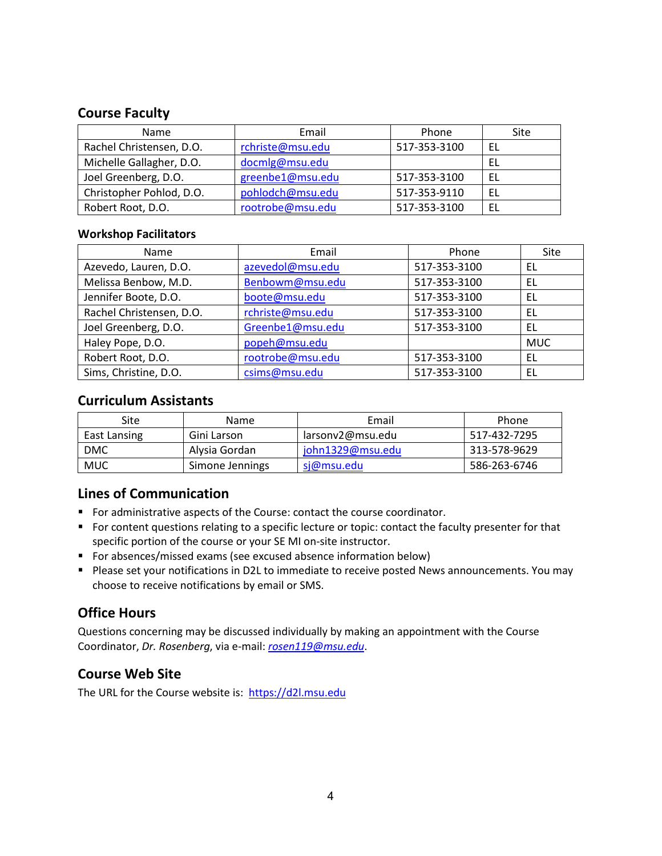#### <span id="page-3-0"></span>**Course Faculty**

| <b>Name</b>              | Email            | Phone        | Site |
|--------------------------|------------------|--------------|------|
| Rachel Christensen, D.O. | rchriste@msu.edu | 517-353-3100 | EL   |
| Michelle Gallagher, D.O. | docmlg@msu.edu   |              | -EL  |
| Joel Greenberg, D.O.     | greenbe1@msu.edu | 517-353-3100 | EL   |
| Christopher Pohlod, D.O. | pohlodch@msu.edu | 517-353-9110 | EL   |
| Robert Root, D.O.        | rootrobe@msu.edu | 517-353-3100 | EL   |

#### **Workshop Facilitators**

| Name                     | Email            | Phone        | Site       |
|--------------------------|------------------|--------------|------------|
| Azevedo, Lauren, D.O.    | azevedol@msu.edu | 517-353-3100 | EL         |
| Melissa Benbow, M.D.     | Benbowm@msu.edu  | 517-353-3100 | EL         |
| Jennifer Boote, D.O.     | boote@msu.edu    | 517-353-3100 | EL         |
| Rachel Christensen, D.O. | rchriste@msu.edu | 517-353-3100 | EL         |
| Joel Greenberg, D.O.     | Greenbe1@msu.edu | 517-353-3100 | EL         |
| Haley Pope, D.O.         | popeh@msu.edu    |              | <b>MUC</b> |
| Robert Root, D.O.        | rootrobe@msu.edu | 517-353-3100 | EL         |
| Sims, Christine, D.O.    | csims@msu.edu    | 517-353-3100 | EL         |

## <span id="page-3-1"></span>**Curriculum Assistants**

| <b>Site</b>  | <b>Name</b>     | Email            | Phone        |
|--------------|-----------------|------------------|--------------|
| East Lansing | Gini Larson     | larsonv2@msu.edu | 517-432-7295 |
| <b>DMC</b>   | Alysia Gordan   | john1329@msu.edu | 313-578-9629 |
| MUC          | Simone Jennings | si@msu.edu       | 586-263-6746 |

## <span id="page-3-2"></span>**Lines of Communication**

- For administrative aspects of the Course: contact the course coordinator.
- For content questions relating to a specific lecture or topic: contact the faculty presenter for that specific portion of the course or your SE MI on-site instructor.
- For absences/missed exams (see excused absence information below)
- **Please set your notifications in D2L to immediate to receive posted News announcements. You may** choose to receive notifications by email or SMS.

## <span id="page-3-3"></span>**Office Hours**

Questions concerning may be discussed individually by making an appointment with the Course Coordinator, *Dr. Rosenberg*, via e-mail: *[rosen119@msu.edu](mailto:rosen119@msu.edu)*.

## <span id="page-3-4"></span>**Course Web Site**

The URL for the Course website is: [https://d2l.msu.edu](https://d2l.msu.edu/)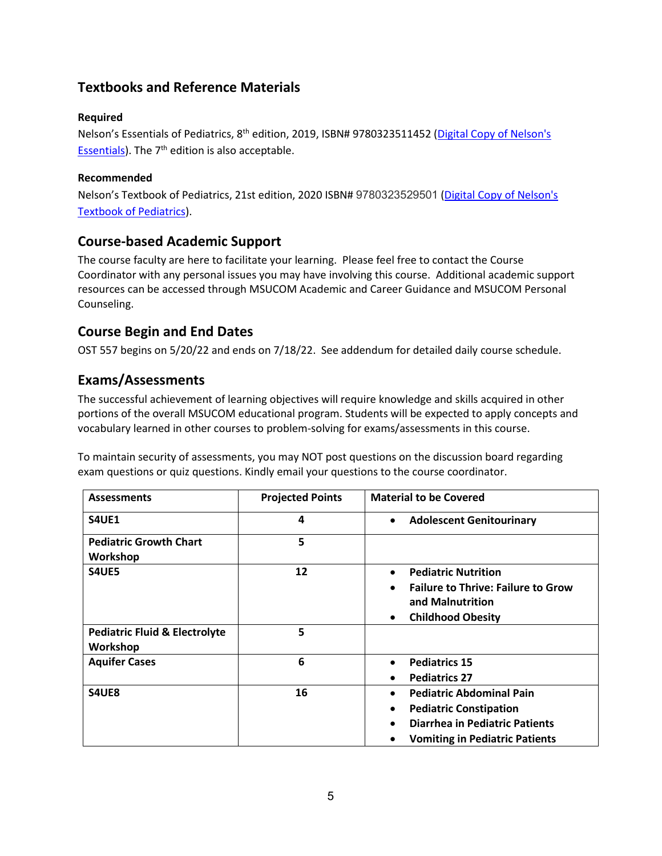# <span id="page-4-0"></span>**Textbooks and Reference Materials**

#### **Required**

Nelson's Essentials of Pediatrics, 8<sup>th</sup> edition, 2019, ISBN# 9780323511452 (Digital Copy of Nelson's [Essentials\)](http://ezproxy.msu.edu:2047/login?url=https://www.clinicalkey.com/#!/browse/book/3-s2.0-C20160012640). The  $7<sup>th</sup>$  edition is also acceptable.

#### **Recommended**

Nelson's Textbook of Pediatrics, 21st edition, 2020 ISBN# 9780323529501 [\(Digital Copy of Nelson's](http://ezproxy.msu.edu:2047/login?url=https://www.clinicalkey.com/#!/browse/book/3-s2.0-C20161017121)  [Textbook of Pediatrics\)](http://ezproxy.msu.edu:2047/login?url=https://www.clinicalkey.com/#!/browse/book/3-s2.0-C20161017121).

#### <span id="page-4-1"></span>**Course-based Academic Support**

The course faculty are here to facilitate your learning. Please feel free to contact the Course Coordinator with any personal issues you may have involving this course. Additional academic support resources can be accessed through MSUCOM Academic and Career Guidance and MSUCOM Personal Counseling.

## <span id="page-4-2"></span>**Course Begin and End Dates**

OST 557 begins on 5/20/22 and ends on 7/18/22. See addendum for detailed daily course schedule.

#### <span id="page-4-3"></span>**Exams/Assessments**

The successful achievement of learning objectives will require knowledge and skills acquired in other portions of the overall MSUCOM educational program. Students will be expected to apply concepts and vocabulary learned in other courses to problem-solving for exams/assessments in this course.

To maintain security of assessments, you may NOT post questions on the discussion board regarding exam questions or quiz questions. Kindly email your questions to the course coordinator.

| <b>Assessments</b>                                   | <b>Projected Points</b> | <b>Material to be Covered</b>                                                                                                                                   |
|------------------------------------------------------|-------------------------|-----------------------------------------------------------------------------------------------------------------------------------------------------------------|
| S4UE1                                                | 4                       | <b>Adolescent Genitourinary</b><br>$\bullet$                                                                                                                    |
| <b>Pediatric Growth Chart</b><br>Workshop            | 5                       |                                                                                                                                                                 |
| S4UE5                                                | 12                      | <b>Pediatric Nutrition</b><br>$\bullet$<br><b>Failure to Thrive: Failure to Grow</b><br>$\bullet$<br>and Malnutrition<br><b>Childhood Obesity</b>               |
| <b>Pediatric Fluid &amp; Electrolyte</b><br>Workshop | 5                       |                                                                                                                                                                 |
| <b>Aquifer Cases</b>                                 | 6                       | <b>Pediatrics 15</b><br>$\bullet$<br><b>Pediatrics 27</b>                                                                                                       |
| S4UE8                                                | 16                      | <b>Pediatric Abdominal Pain</b><br><b>Pediatric Constipation</b><br>$\bullet$<br><b>Diarrhea in Pediatric Patients</b><br><b>Vomiting in Pediatric Patients</b> |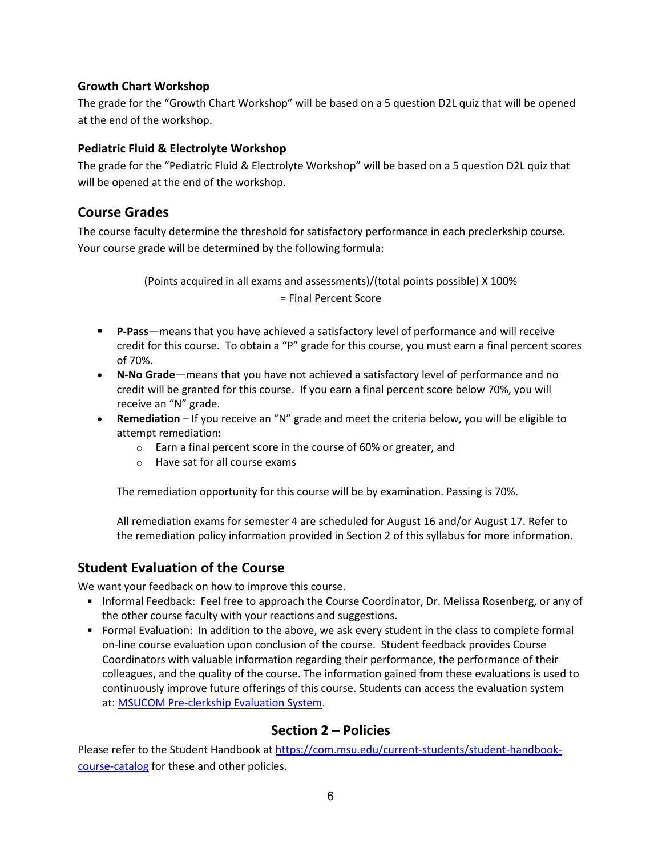#### **Growth Chart Workshop**

The grade for the "Growth Chart Workshop" will be based on a 5 question D2L quiz that will be opened at the end of the workshop.

#### **Pediatric Fluid & Electrolyte Workshop**

The grade for the "Pediatric Fluid & Electrolyte Workshop" will be based on a 5 question D2L quiz that will be opened at the end of the workshop.

#### <span id="page-5-0"></span>**Course Grades**

The course faculty determine the threshold for satisfactory performance in each preclerkship course. Your course grade will be determined by the following formula:

> (Points acquired in all exams and assessments)/(total points possible) X 100% = Final Percent Score

- **P-Pass**—means that you have achieved a satisfactory level of performance and will receive credit for this course. To obtain a "P" grade for this course, you must earn a final percent scores of 70%.
- **N-No Grade**—means that you have not achieved a satisfactory level of performance and no credit will be granted for this course. If you earn a final percent score below 70%, you will receive an "N" grade.
- **Remediation**  If you receive an "N" grade and meet the criteria below, you will be eligible to attempt remediation:
	- o Earn a final percent score in the course of 60% or greater, and
	- o Have sat for all course exams

The remediation opportunity for this course will be by examination. Passing is 70%.

All remediation exams for semester 4 are scheduled for August 16 and/or August 17. Refer to the remediation policy information provided in Section 2 of this syllabus for more information.

#### <span id="page-5-1"></span>**Student Evaluation of the Course**

We want your feedback on how to improve this course.

- Informal Feedback: Feel free to approach the Course Coordinator, Dr. Melissa Rosenberg, or any of the other course faculty with your reactions and suggestions.
- Formal Evaluation: In addition to the above, we ask every student in the class to complete formal on-line course evaluation upon conclusion of the course. Student feedback provides Course Coordinators with valuable information regarding their performance, the performance of their colleagues, and the quality of the course. The information gained from these evaluations is used to continuously improve future offerings of this course. Students can access the evaluation system at: [MSUCOM Pre-clerkship Evaluation System.](https://hit-filemakerwb.hc.msu.edu/MED12_Eval/Index.html)

#### **Section 2 – Policies**

Please refer to the Student Handbook at [https://com.msu.edu/current-students/student-handbook](https://com.msu.edu/current-students/student-handbook-course-catalog)[course-catalog](https://com.msu.edu/current-students/student-handbook-course-catalog) for these and other policies.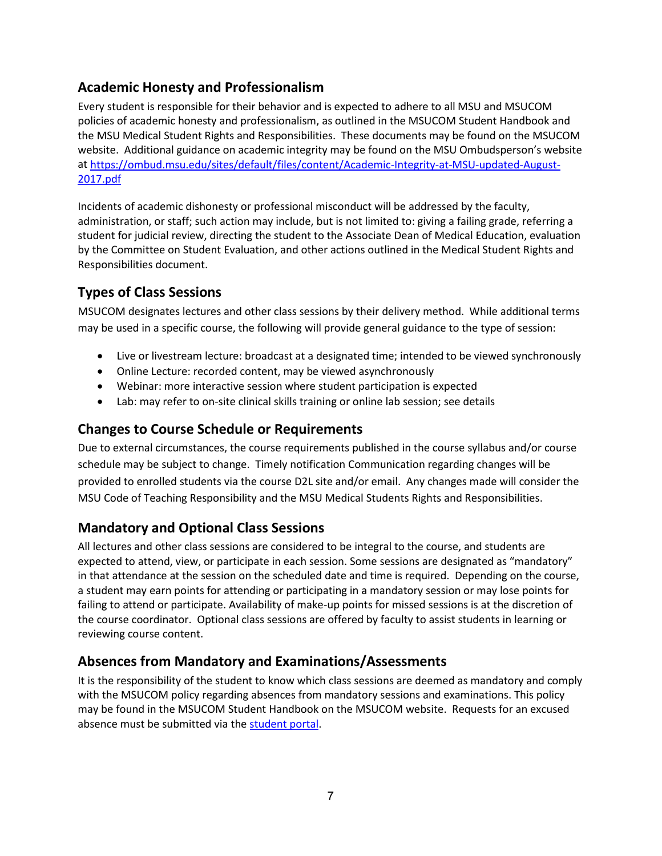# <span id="page-6-0"></span>**Academic Honesty and Professionalism**

Every student is responsible for their behavior and is expected to adhere to all MSU and MSUCOM policies of academic honesty and professionalism, as outlined in the MSUCOM Student Handbook and the MSU Medical Student Rights and Responsibilities. These documents may be found on the MSUCOM website. Additional guidance on academic integrity may be found on the MSU Ombudsperson's website at [https://ombud.msu.edu/sites/default/files/content/Academic-Integrity-at-MSU-updated-August-](https://ombud.msu.edu/sites/default/files/content/Academic-Integrity-at-MSU-updated-August-2017.pdf)[2017.pdf](https://ombud.msu.edu/sites/default/files/content/Academic-Integrity-at-MSU-updated-August-2017.pdf)

Incidents of academic dishonesty or professional misconduct will be addressed by the faculty, administration, or staff; such action may include, but is not limited to: giving a failing grade, referring a student for judicial review, directing the student to the Associate Dean of Medical Education, evaluation by the Committee on Student Evaluation, and other actions outlined in the Medical Student Rights and Responsibilities document.

# <span id="page-6-1"></span>**Types of Class Sessions**

MSUCOM designates lectures and other class sessions by their delivery method. While additional terms may be used in a specific course, the following will provide general guidance to the type of session:

- Live or livestream lecture: broadcast at a designated time; intended to be viewed synchronously
- Online Lecture: recorded content, may be viewed asynchronously
- Webinar: more interactive session where student participation is expected
- Lab: may refer to on-site clinical skills training or online lab session; see details

## **Changes to Course Schedule or Requirements**

Due to external circumstances, the course requirements published in the course syllabus and/or course schedule may be subject to change. Timely notification Communication regarding changes will be provided to enrolled students via the course D2L site and/or email. Any changes made will consider the MSU Code of Teaching Responsibility and the MSU Medical Students Rights and Responsibilities.

# <span id="page-6-2"></span>**Mandatory and Optional Class Sessions**

All lectures and other class sessions are considered to be integral to the course, and students are expected to attend, view, or participate in each session. Some sessions are designated as "mandatory" in that attendance at the session on the scheduled date and time is required. Depending on the course, a student may earn points for attending or participating in a mandatory session or may lose points for failing to attend or participate. Availability of make-up points for missed sessions is at the discretion of the course coordinator. Optional class sessions are offered by faculty to assist students in learning or reviewing course content.

## <span id="page-6-3"></span>**Absences from Mandatory and Examinations/Assessments**

It is the responsibility of the student to know which class sessions are deemed as mandatory and comply with the MSUCOM policy regarding absences from mandatory sessions and examinations. This policy may be found in the MSUCOM Student Handbook on the MSUCOM website. Requests for an excused absence must be submitted via the [student portal.](https://studentportal.com.msu.edu/)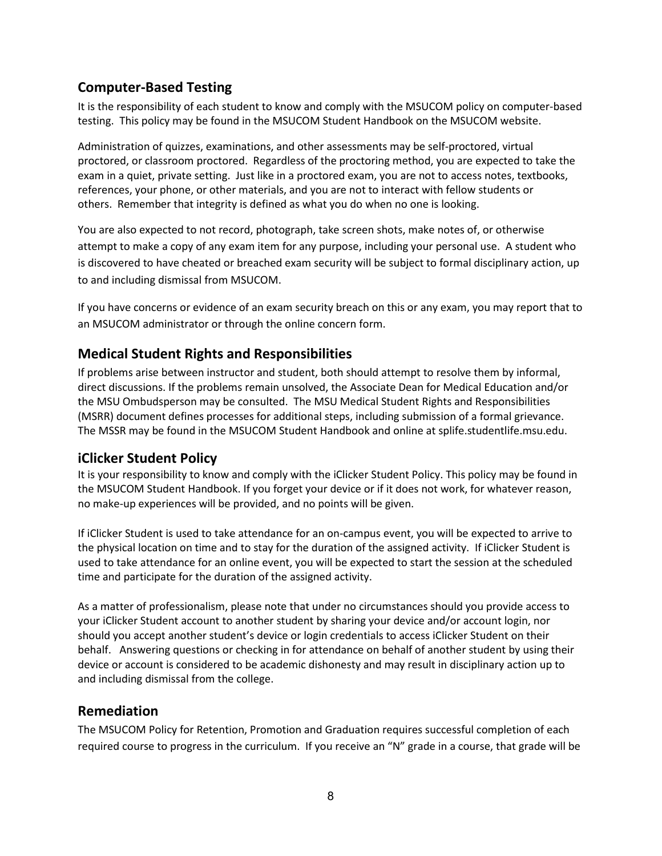## <span id="page-7-0"></span>**Computer-Based Testing**

It is the responsibility of each student to know and comply with the MSUCOM policy on computer-based testing. This policy may be found in the MSUCOM Student Handbook on the MSUCOM website.

Administration of quizzes, examinations, and other assessments may be self-proctored, virtual proctored, or classroom proctored. Regardless of the proctoring method, you are expected to take the exam in a quiet, private setting. Just like in a proctored exam, you are not to access notes, textbooks, references, your phone, or other materials, and you are not to interact with fellow students or others. Remember that integrity is defined as what you do when no one is looking.

You are also expected to not record, photograph, take screen shots, make notes of, or otherwise attempt to make a copy of any exam item for any purpose, including your personal use. A student who is discovered to have cheated or breached exam security will be subject to formal disciplinary action, up to and including dismissal from MSUCOM.

If you have concerns or evidence of an exam security breach on this or any exam, you may report that to an MSUCOM administrator or through the online concern form.

## <span id="page-7-1"></span>**Medical Student Rights and Responsibilities**

If problems arise between instructor and student, both should attempt to resolve them by informal, direct discussions. If the problems remain unsolved, the Associate Dean for Medical Education and/or the MSU Ombudsperson may be consulted. The MSU Medical Student Rights and Responsibilities (MSRR) document defines processes for additional steps, including submission of a formal grievance. The MSSR may be found in the MSUCOM Student Handbook and online at splife.studentlife.msu.edu.

#### **iClicker Student Policy**

It is your responsibility to know and comply with the iClicker Student Policy. This policy may be found in the MSUCOM Student Handbook. If you forget your device or if it does not work, for whatever reason, no make-up experiences will be provided, and no points will be given.

If iClicker Student is used to take attendance for an on-campus event, you will be expected to arrive to the physical location on time and to stay for the duration of the assigned activity. If iClicker Student is used to take attendance for an online event, you will be expected to start the session at the scheduled time and participate for the duration of the assigned activity.

As a matter of professionalism, please note that under no circumstances should you provide access to your iClicker Student account to another student by sharing your device and/or account login, nor should you accept another student's device or login credentials to access iClicker Student on their behalf. Answering questions or checking in for attendance on behalf of another student by using their device or account is considered to be academic dishonesty and may result in disciplinary action up to and including dismissal from the college.

#### <span id="page-7-2"></span>**Remediation**

The MSUCOM Policy for Retention, Promotion and Graduation requires successful completion of each required course to progress in the curriculum. If you receive an "N" grade in a course, that grade will be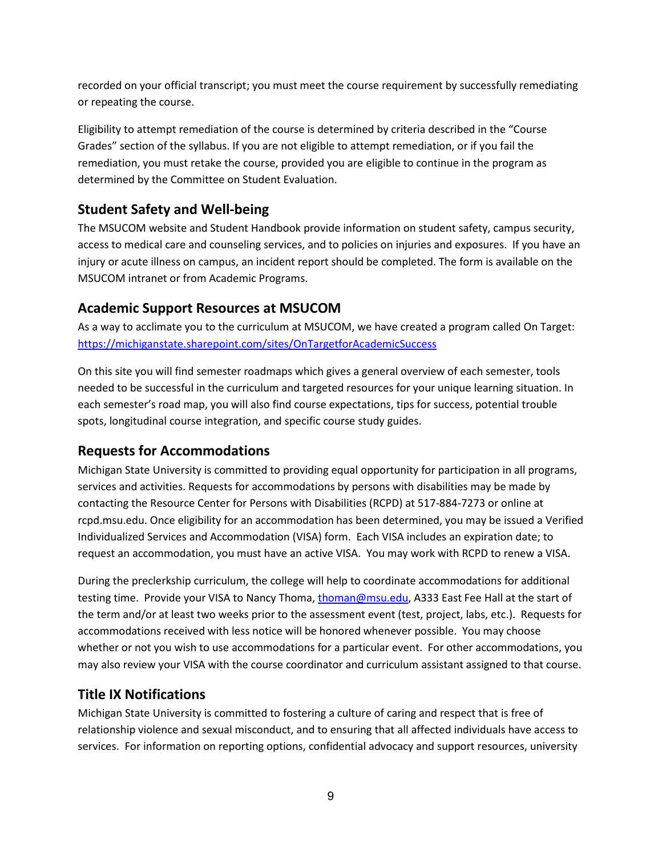recorded on your official transcript; you must meet the course requirement by successfully remediating or repeating the course.

Eligibility to attempt remediation of the course is determined by criteria described in the "Course Grades" section of the syllabus. If you are not eligible to attempt remediation, or if you fail the remediation, you must retake the course, provided you are eligible to continue in the program as determined by the Committee on Student Evaluation.

# <span id="page-8-0"></span>**Student Safety and Well-being**

The MSUCOM website and Student Handbook provide information on student safety, campus security, access to medical care and counseling services, and to policies on injuries and exposures. If you have an injury or acute illness on campus, an incident report should be completed. The form is available on the MSUCOM intranet or from Academic Programs.

# <span id="page-8-1"></span>**Academic Support Resources at MSUCOM**

As a way to acclimate you to the curriculum at MSUCOM, we have created a program called On Target: <https://michiganstate.sharepoint.com/sites/OnTargetforAcademicSuccess>

On this site you will find semester roadmaps which gives a general overview of each semester, tools needed to be successful in the curriculum and targeted resources for your unique learning situation. In each semester's road map, you will also find course expectations, tips for success, potential trouble spots, longitudinal course integration, and specific course study guides.

# <span id="page-8-2"></span>**Requests for Accommodations**

Michigan State University is committed to providing equal opportunity for participation in all programs, services and activities. Requests for accommodations by persons with disabilities may be made by contacting the Resource Center for Persons with Disabilities (RCPD) at 517-884-7273 or online at rcpd.msu.edu. Once eligibility for an accommodation has been determined, you may be issued a Verified Individualized Services and Accommodation (VISA) form. Each VISA includes an expiration date; to request an accommodation, you must have an active VISA. You may work with RCPD to renew a VISA.

During the preclerkship curriculum, the college will help to coordinate accommodations for additional testing time. Provide your VISA to Nancy Thoma, [thoman@msu.edu,](mailto:thoman@msu.edu) A333 East Fee Hall at the start of the term and/or at least two weeks prior to the assessment event (test, project, labs, etc.). Requests for accommodations received with less notice will be honored whenever possible. You may choose whether or not you wish to use accommodations for a particular event. For other accommodations, you may also review your VISA with the course coordinator and curriculum assistant assigned to that course.

# <span id="page-8-3"></span>**Title IX Notifications**

Michigan State University is committed to fostering a culture of caring and respect that is free of relationship violence and sexual misconduct, and to ensuring that all affected individuals have access to services. For information on reporting options, confidential advocacy and support resources, university